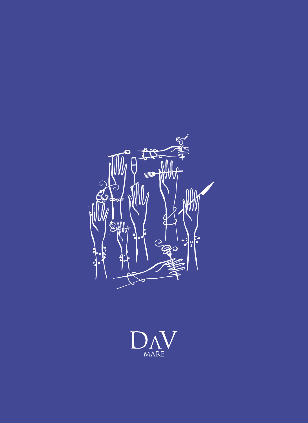

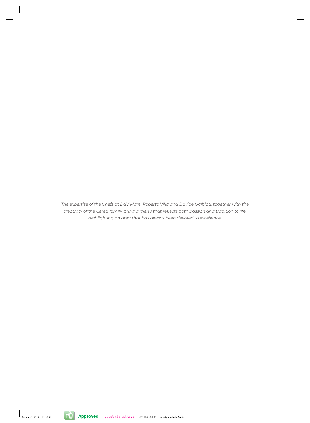*The expertise of the Chefs at DaV Mare, Roberto Villa and Davide Galbiati, together with the creativity of the Cerea family, bring a menu that reflects both passion and tradition to life, highlighting an area that has always been devoted to excellence.*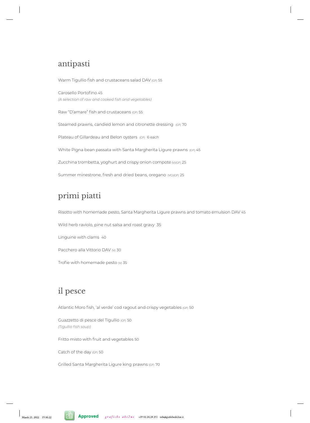### antipasti

Warm Tigullio fish and crustaceans salad DAV (GF) 55 Carosello Portofino 45 *(A selection of raw and cooked fish and vegetables)* Raw "D'amare" fish and crustaceans (GF) 55 Steamed prawns, candied lemon and citronette dressing (GF) 70 Plateau of Gillardeau and Belon oysters (GF) 6 each White Pigna bean passata with Santa Margherita Ligure prawns (GF) 45 Zucchina trombetta, yoghurt and crispy onion compote (V)(GF) 25 Summer minestrone, fresh and dried beans, oregano (VG)(GF) 25

# primi piatti

Risotto with homemade pesto, Santa Margherita Ligure prawns and tomato emulsion DAV 45

Wild herb raviolo, pine nut salsa and roast gravy 35

Linguine with clams 40

Pacchero alla Vittorio DAV (v) 30

Trofie with homemade pesto  $w_1$  35

## il pesce

Atlantic Moro fish, 'al verde' cod ragout and crispy vegetables (GF) 50

Guazzetto di pesce del Tigullio (GF) 50 *(Tigullio fish soup)*

Fritto misto with fruit and vegetables 50

Catch of the day (GF) 50

Grilled Santa Margherita Ligure king prawns (GF) 70